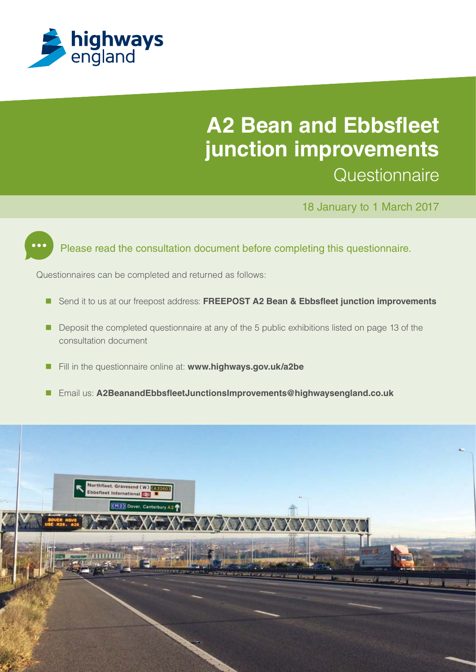

## **A2 Bean and Ebbsfleet junction improvements Questionnaire**

18 January to 1 March 2017



Please read the consultation document before completing this questionnaire.

Questionnaires can be completed and returned as follows:

- Send it to us at our freepost address: **FREEPOST A2 Bean & Ebbsfleet junction improvements**
- Deposit the completed questionnaire at any of the 5 public exhibitions listed on page 13 of the consultation document
- Fill in the questionnaire online at: **www.highways.gov.uk/a2be**
- Email us: **A2BeanandEbbsfleetJunctionsImprovements@highwaysengland.co.uk**

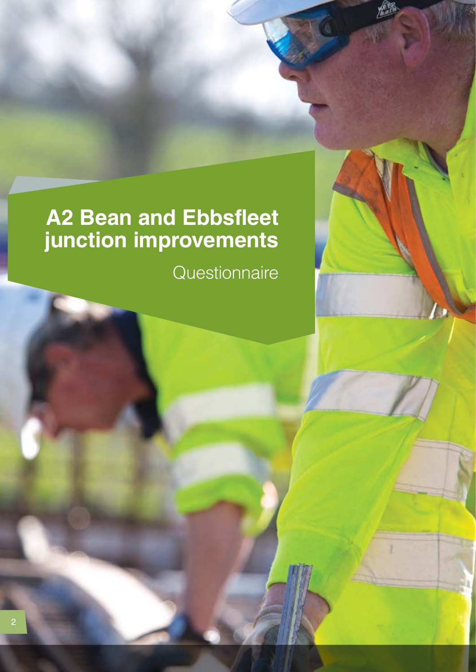# **A2 Bean and Ebbsfleet junction improvements**

**Questionnaire**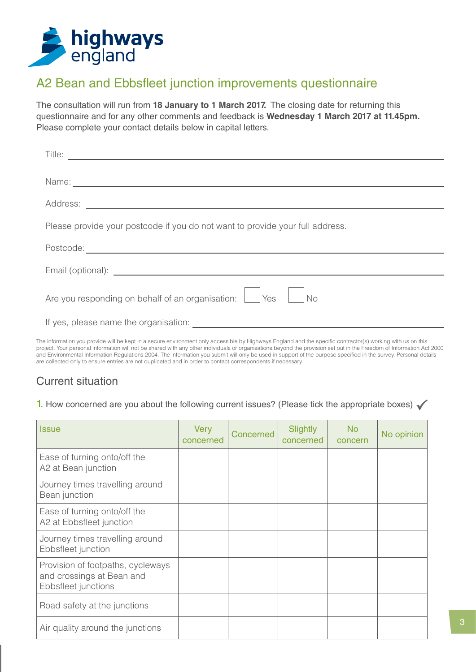

## A2 Bean and Ebbsfleet junction improvements questionnaire

The consultation will run from **18 January to 1 March 2017.** The closing date for returning this questionnaire and for any other comments and feedback is **Wednesday 1 March 2017 at 11.45pm.** Please complete your contact details below in capital letters.

| Title:                                                                                                                                                  |
|---------------------------------------------------------------------------------------------------------------------------------------------------------|
|                                                                                                                                                         |
|                                                                                                                                                         |
| Please provide your postcode if you do not want to provide your full address.                                                                           |
|                                                                                                                                                         |
|                                                                                                                                                         |
| Are you responding on behalf of an organisation: Ves<br>$\overline{\big NQ}$                                                                            |
|                                                                                                                                                         |
| information you provide will be kept in a secure environment only accessible by Highways England and the specific contractor(s) working with us on this |

The information you provide will be kept in a secure environment only accessible by Highways England and the specific contractor(s) working with us on this project. Your personal information will not be shared with any other individuals or organisations beyond the provision set out in the Freedom of Information Act 2000 and Environmental Information Regulations 2004. The information you submit will only be used in support of the purpose specified in the survey. Personal details are collected only to ensure entries are not duplicated and in order to contact correspondents if necessary.

## Current situation

#### 1. How concerned are you about the following current issues? (Please tick the appropriate boxes)  $\checkmark$

| <b>Issue</b>                                                                          | <b>Very</b><br>concerned | Concerned | Slightly<br>concerned | <b>No</b><br>concern | No opinion |
|---------------------------------------------------------------------------------------|--------------------------|-----------|-----------------------|----------------------|------------|
| Ease of turning onto/off the<br>A2 at Bean junction                                   |                          |           |                       |                      |            |
| Journey times travelling around<br>Bean junction                                      |                          |           |                       |                      |            |
| Ease of turning onto/off the<br>A2 at Ebbsfleet junction                              |                          |           |                       |                      |            |
| Journey times travelling around<br>Ebbsfleet junction                                 |                          |           |                       |                      |            |
| Provision of footpaths, cycleways<br>and crossings at Bean and<br>Ebbsfleet junctions |                          |           |                       |                      |            |
| Road safety at the junctions                                                          |                          |           |                       |                      |            |
| Air quality around the junctions                                                      |                          |           |                       |                      |            |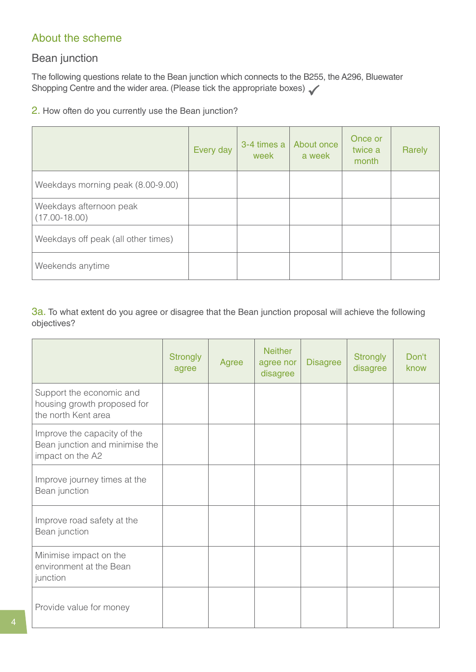### About the scheme

### Bean junction

The following questions relate to the Bean junction which connects to the B255, the A296, Bluewater Shopping Centre and the wider area. (Please tick the appropriate boxes)

2. How often do you currently use the Bean junction?

|                                              | Every day | 3-4 times a<br>week | About once<br>a week | Once or<br>twice a<br>month | Rarely |
|----------------------------------------------|-----------|---------------------|----------------------|-----------------------------|--------|
| Weekdays morning peak (8.00-9.00)            |           |                     |                      |                             |        |
| Weekdays afternoon peak<br>$(17.00 - 18.00)$ |           |                     |                      |                             |        |
| Weekdays off peak (all other times)          |           |                     |                      |                             |        |
| Weekends anytime                             |           |                     |                      |                             |        |

3a. To what extent do you agree or disagree that the Bean junction proposal will achieve the following objectives?

|                                                                                   | <b>Strongly</b><br>agree | Agree | <b>Neither</b><br>agree nor<br>disagree | <b>Disagree</b> | <b>Strongly</b><br>disagree | Don't<br>know |
|-----------------------------------------------------------------------------------|--------------------------|-------|-----------------------------------------|-----------------|-----------------------------|---------------|
| Support the economic and<br>housing growth proposed for<br>the north Kent area    |                          |       |                                         |                 |                             |               |
| Improve the capacity of the<br>Bean junction and minimise the<br>impact on the A2 |                          |       |                                         |                 |                             |               |
| Improve journey times at the<br>Bean junction                                     |                          |       |                                         |                 |                             |               |
| Improve road safety at the<br>Bean junction                                       |                          |       |                                         |                 |                             |               |
| Minimise impact on the<br>environment at the Bean<br>junction                     |                          |       |                                         |                 |                             |               |
| Provide value for money                                                           |                          |       |                                         |                 |                             |               |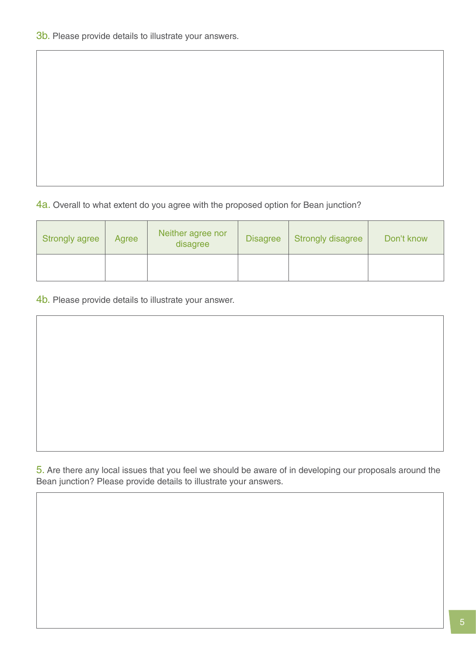4a. Overall to what extent do you agree with the proposed option for Bean junction?

| <b>Strongly agree</b> | Agree | Neither agree nor<br>disagree | <b>Disagree</b> | <b>Strongly disagree</b> | Don't know |
|-----------------------|-------|-------------------------------|-----------------|--------------------------|------------|
|                       |       |                               |                 |                          |            |

4b. Please provide details to illustrate your answer.

5. Are there any local issues that you feel we should be aware of in developing our proposals around the Bean junction? Please provide details to illustrate your answers.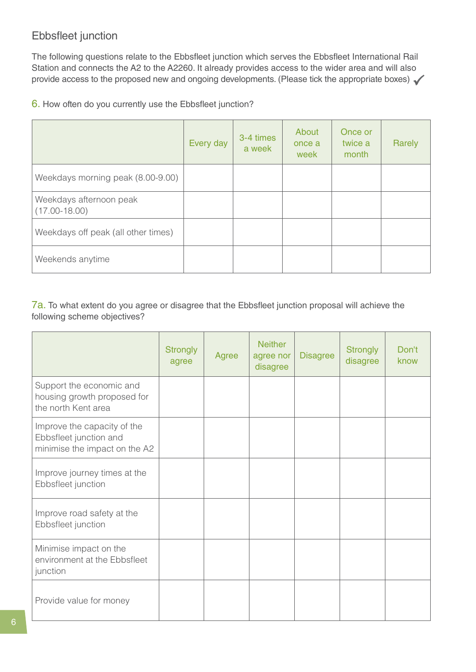#### Ebbsfleet junction

The following questions relate to the Ebbsfleet junction which serves the Ebbsfleet International Rail Station and connects the A2 to the A2260. It already provides access to the wider area and will also provide access to the proposed new and ongoing developments. (Please tick the appropriate boxes)

#### 6. How often do you currently use the Ebbsfleet junction?

|                                              | Every day | 3-4 times<br>a week | About<br>once a<br>week | Once or<br>twice a<br>month | Rarely |
|----------------------------------------------|-----------|---------------------|-------------------------|-----------------------------|--------|
| Weekdays morning peak (8.00-9.00)            |           |                     |                         |                             |        |
| Weekdays afternoon peak<br>$(17.00 - 18.00)$ |           |                     |                         |                             |        |
| Weekdays off peak (all other times)          |           |                     |                         |                             |        |
| Weekends anytime                             |           |                     |                         |                             |        |

7a. To what extent do you agree or disagree that the Ebbsfleet junction proposal will achieve the following scheme objectives?

|                                                                                        | <b>Strongly</b><br>agree | Agree | <b>Neither</b><br>agree nor<br>disagree | <b>Disagree</b> | <b>Strongly</b><br>disagree | Don't<br>know |
|----------------------------------------------------------------------------------------|--------------------------|-------|-----------------------------------------|-----------------|-----------------------------|---------------|
| Support the economic and<br>housing growth proposed for<br>the north Kent area         |                          |       |                                         |                 |                             |               |
| Improve the capacity of the<br>Ebbsfleet junction and<br>minimise the impact on the A2 |                          |       |                                         |                 |                             |               |
| Improve journey times at the<br>Ebbsfleet junction                                     |                          |       |                                         |                 |                             |               |
| Improve road safety at the<br>Ebbsfleet junction                                       |                          |       |                                         |                 |                             |               |
| Minimise impact on the<br>environment at the Ebbsfleet<br>junction                     |                          |       |                                         |                 |                             |               |
| Provide value for money                                                                |                          |       |                                         |                 |                             |               |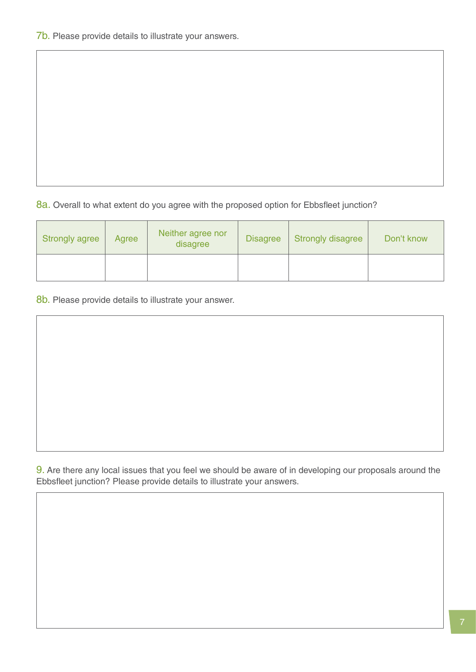8a. Overall to what extent do you agree with the proposed option for Ebbsfleet junction?

| <b>Strongly agree</b> | Agree | Neither agree nor<br>disagree | <b>Disagree</b> | <b>Strongly disagree</b> | Don't know |
|-----------------------|-------|-------------------------------|-----------------|--------------------------|------------|
|                       |       |                               |                 |                          |            |

8b. Please provide details to illustrate your answer.

9. Are there any local issues that you feel we should be aware of in developing our proposals around the Ebbsfleet junction? Please provide details to illustrate your answers.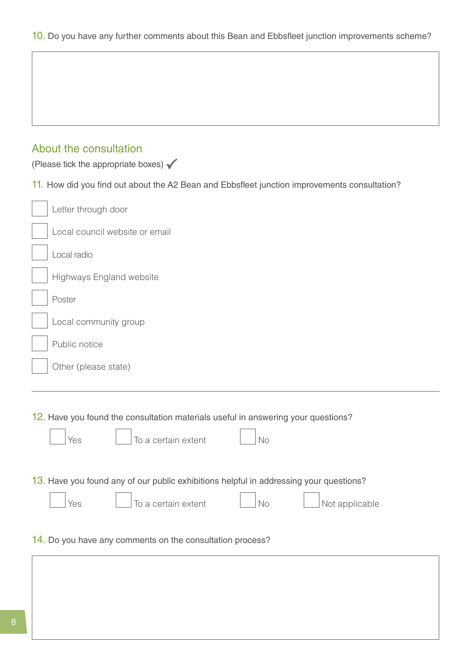| About the consultation<br>(Please tick the appropriate boxes) $\checkmark$                                                                   |
|----------------------------------------------------------------------------------------------------------------------------------------------|
| 11. How did you find out about the A2 Bean and Ebbsfleet junction improvements consultation?                                                 |
| Letter through door                                                                                                                          |
| Local council website or email                                                                                                               |
| Local radio                                                                                                                                  |
| Highways England website                                                                                                                     |
| Poster                                                                                                                                       |
| Local community group                                                                                                                        |
| Public notice                                                                                                                                |
| Other (please state)                                                                                                                         |
|                                                                                                                                              |
| 12. Have you found the consultation materials useful in answering your questions?<br>To a certain extent<br>No<br>Yes                        |
| 13. Have you found any of our public exhibitions helpful in addressing your questions?<br>To a certain extent<br>Not applicable<br>No<br>Yes |
| 14. Do you have any comments on the consultation process?                                                                                    |
|                                                                                                                                              |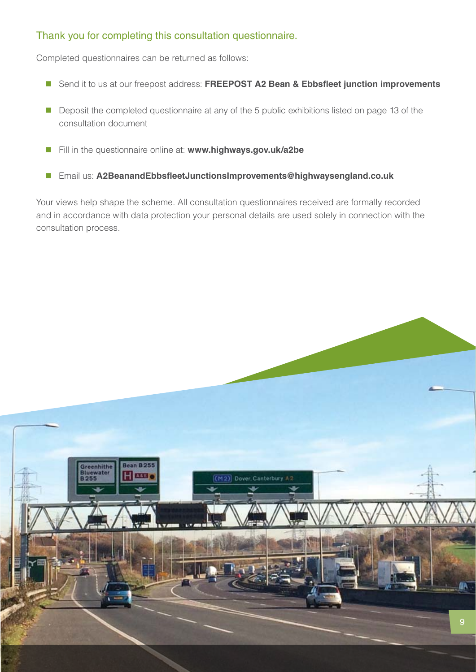#### Thank you for completing this consultation questionnaire.

Completed questionnaires can be returned as follows:

- Send it to us at our freepost address: FREEPOST A2 Bean & Ebbsfleet junction improvements
- Deposit the completed questionnaire at any of the 5 public exhibitions listed on page 13 of the consultation document
- Fill in the questionnaire online at: **www.highways.gov.uk/a2be**
- Email us: **A2BeanandEbbsfleetJunctionsImprovements@highwaysengland.co.uk**

Your views help shape the scheme. All consultation questionnaires received are formally recorded and in accordance with data protection your personal details are used solely in connection with the consultation process.

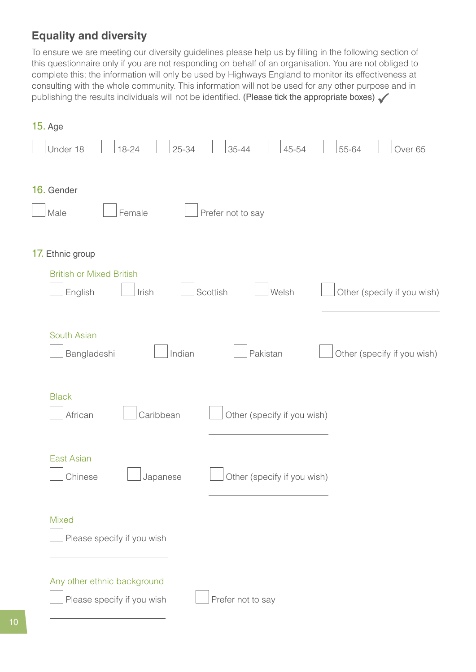## **Equality and diversity**

To ensure we are meeting our diversity guidelines please help us by filling in the following section of this questionnaire only if you are not responding on behalf of an organisation. You are not obliged to complete this; the information will only be used by Highways England to monitor its effectiveness at consulting with the whole community. This information will not be used for any other purpose and in publishing the results individuals will not be identified. (Please tick the appropriate boxes)

| <b>15. Age</b>                                                                 |                             |
|--------------------------------------------------------------------------------|-----------------------------|
| $25 - 34$<br>$35 - 44$<br>45-54<br>Under 18<br>18-24                           | 55-64<br>Over <sub>65</sub> |
| 16. Gender<br>Female<br>Male<br>Prefer not to say                              |                             |
| 17. Ethnic group                                                               |                             |
| <b>British or Mixed British</b><br>Welsh<br>English<br>Irish<br>Scottish       | Other (specify if you wish) |
| South Asian<br>Indian<br>Pakistan<br>Bangladeshi                               | Other (specify if you wish) |
| <b>Black</b><br>Caribbean<br>African<br>Other (specify if you wish)            |                             |
| <b>East Asian</b><br>Chinese<br>Other (specify if you wish)<br>Japanese        |                             |
| <b>Mixed</b><br>Please specify if you wish                                     |                             |
| Any other ethnic background<br>Please specify if you wish<br>Prefer not to say |                             |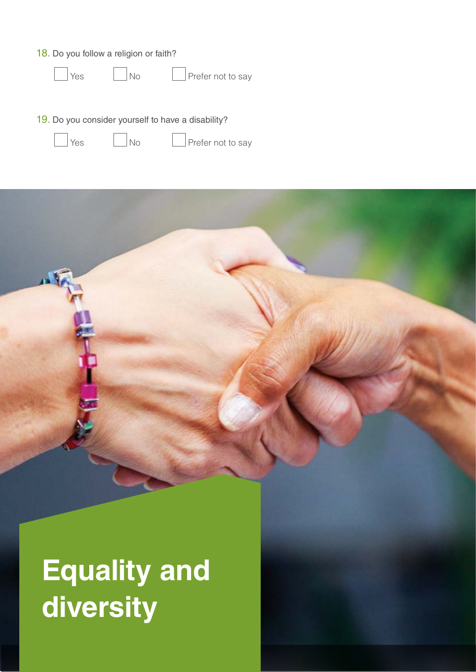18. Do you follow a religion or faith?

 $\log$  No Prefer not to say

19. Do you consider yourself to have a disability?



Yes No Prefer not to say

**Equality and diversity**